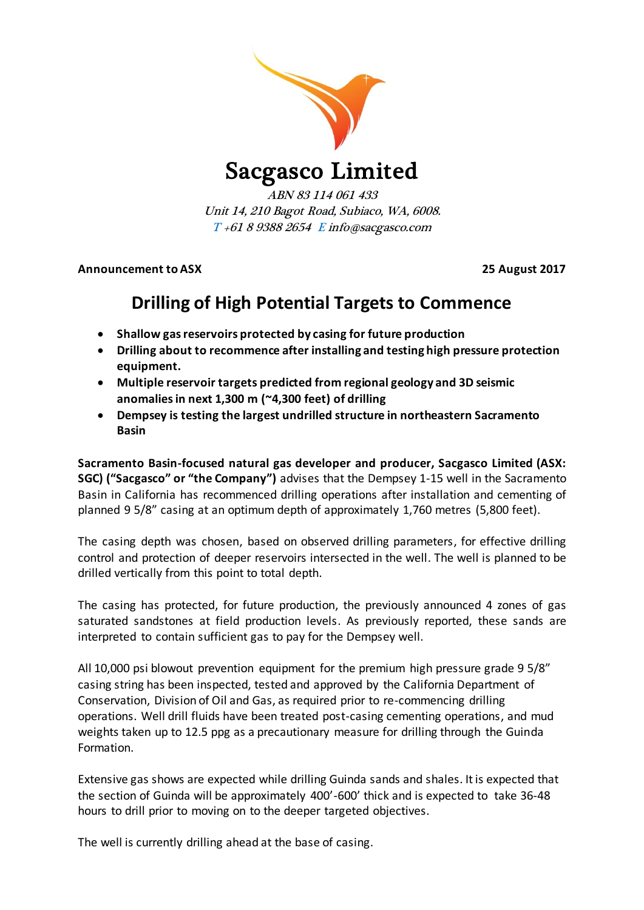

# Sacgasco Limited

ABN 83 114 061 433 Unit 14, 210 Bagot Road, Subiaco, WA, 6008.  $T + 61893882654$  E info@sacgasco.com

**Announcement to ASX 25 August 2017**

# **Drilling of High Potential Targets to Commence**

- **Shallow gas reservoirs protected by casing for future production**
- **Drilling about to recommence after installing and testing high pressure protection equipment.**
- **Multiple reservoir targets predicted from regional geology and 3D seismic anomaliesin next 1,300 m (~4,300 feet) of drilling**
- **Dempsey is testing the largest undrilled structure in northeastern Sacramento Basin**

**Sacramento Basin-focused natural gas developer and producer, Sacgasco Limited (ASX: SGC) ("Sacgasco" or "the Company")** advises that the Dempsey 1-15 well in the Sacramento Basin in California has recommenced drilling operations after installation and cementing of planned 9 5/8" casing at an optimum depth of approximately 1,760 metres (5,800 feet).

The casing depth was chosen, based on observed drilling parameters, for effective drilling control and protection of deeper reservoirs intersected in the well. The well is planned to be drilled vertically from this point to total depth.

The casing has protected, for future production, the previously announced 4 zones of gas saturated sandstones at field production levels. As previously reported, these sands are interpreted to contain sufficient gas to pay for the Dempsey well.

All 10,000 psi blowout prevention equipment for the premium high pressure grade 9 5/8" casing string has been inspected, tested and approved by the California Department of Conservation, Division of Oil and Gas, as required prior to re-commencing drilling operations. Well drill fluids have been treated post-casing cementing operations, and mud weights taken up to 12.5 ppg as a precautionary measure for drilling through the Guinda Formation.

Extensive gas shows are expected while drilling Guinda sands and shales. It is expected that the section of Guinda will be approximately 400'-600' thick and is expected to take 36-48 hours to drill prior to moving on to the deeper targeted objectives.

The well is currently drilling ahead at the base of casing.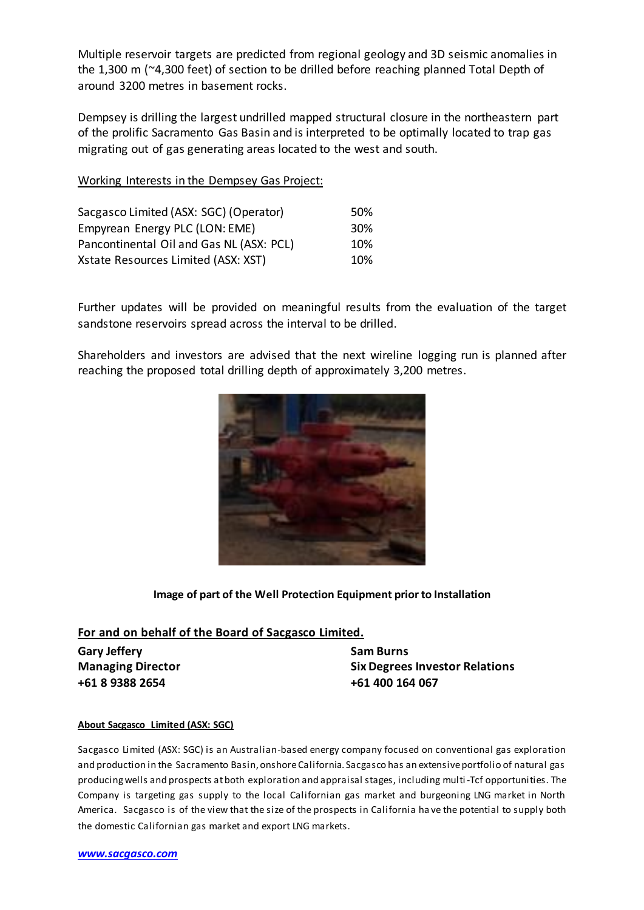Multiple reservoir targets are predicted from regional geology and 3D seismic anomalies in the 1,300 m (~4,300 feet) of section to be drilled before reaching planned Total Depth of around 3200 metres in basement rocks.

Dempsey is drilling the largest undrilled mapped structural closure in the northeastern part of the prolific Sacramento Gas Basin and is interpreted to be optimally located to trap gas migrating out of gas generating areas located to the west and south.

### Working Interests in the Dempsey Gas Project:

| Sacgasco Limited (ASX: SGC) (Operator)   | 50% |
|------------------------------------------|-----|
| Empyrean Energy PLC (LON: EME)           | 30% |
| Pancontinental Oil and Gas NL (ASX: PCL) | 10% |
| Xstate Resources Limited (ASX: XST)      | 10% |

Further updates will be provided on meaningful results from the evaluation of the target sandstone reservoirs spread across the interval to be drilled.

Shareholders and investors are advised that the next wireline logging run is planned after reaching the proposed total drilling depth of approximately 3,200 metres.



## **Image of part of the Well Protection Equipment prior to Installation**

### **For and on behalf of the Board of Sacgasco Limited.**

**Gary Jeffery Sam Burns +61 8 9388 2654 +61 400 164 067**

**Managing Director Six Degrees Investor Relations**

#### **About Sacgasco Limited (ASX: SGC)**

Sacgasco Limited (ASX: SGC) is an Australian-based energy company focused on conventional gas exploration and production in the Sacramento Basin, onshore California. Sacgasco has an extensive portfolio of natural gas producing wells and prospects at both exploration and appraisal stages, including multi-Tcf opportunities. The Company is targeting gas supply to the local Californian gas market and burgeoning LNG market in North America. Sacgasco is of the view that the size of the prospects in California ha ve the potential to supply both the domestic Californian gas market and export LNG markets.